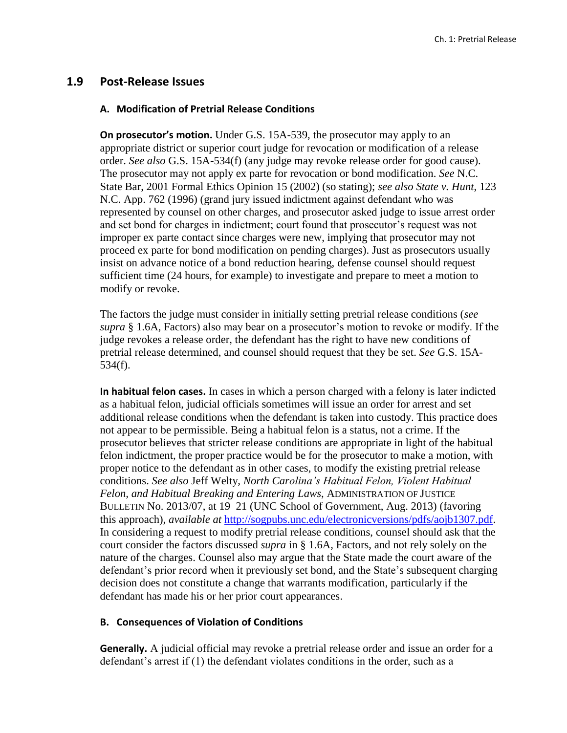## **1.9 Post-Release Issues**

#### **A. Modification of Pretrial Release Conditions**

**On prosecutor's motion.** Under G.S. 15A-539, the prosecutor may apply to an appropriate district or superior court judge for revocation or modification of a release order. *See also* G.S. 15A-534(f) (any judge may revoke release order for good cause). The prosecutor may not apply ex parte for revocation or bond modification. *See* N.C. State Bar, 2001 Formal Ethics Opinion 15 (2002) (so stating); *see also State v. Hunt*, 123 N.C. App. 762 (1996) (grand jury issued indictment against defendant who was represented by counsel on other charges, and prosecutor asked judge to issue arrest order and set bond for charges in indictment; court found that prosecutor's request was not improper ex parte contact since charges were new, implying that prosecutor may not proceed ex parte for bond modification on pending charges). Just as prosecutors usually insist on advance notice of a bond reduction hearing, defense counsel should request sufficient time (24 hours, for example) to investigate and prepare to meet a motion to modify or revoke.

The factors the judge must consider in initially setting pretrial release conditions (*see supra* § 1.6A, Factors) also may bear on a prosecutor's motion to revoke or modify. If the judge revokes a release order, the defendant has the right to have new conditions of pretrial release determined, and counsel should request that they be set. *See* G.S. 15A-534(f).

**In habitual felon cases.** In cases in which a person charged with a felony is later indicted as a habitual felon, judicial officials sometimes will issue an order for arrest and set additional release conditions when the defendant is taken into custody. This practice does not appear to be permissible. Being a habitual felon is a status, not a crime. If the prosecutor believes that stricter release conditions are appropriate in light of the habitual felon indictment, the proper practice would be for the prosecutor to make a motion, with proper notice to the defendant as in other cases, to modify the existing pretrial release conditions. *See also* Jeff Welty, *North Carolina's Habitual Felon, Violent Habitual Felon, and Habitual Breaking and Entering Laws*, ADMINISTRATION OF JUSTICE BULLETIN No. 2013/07, at 19–21 (UNC School of Government, Aug. 2013) (favoring this approach), *available at* [http://sogpubs.unc.edu/electronicversions/pdfs/aojb1307.pdf.](http://sogpubs.unc.edu/electronicversions/pdfs/aojb1307.pdf) In considering a request to modify pretrial release conditions, counsel should ask that the court consider the factors discussed *supra* in § 1.6A, Factors, and not rely solely on the nature of the charges. Counsel also may argue that the State made the court aware of the defendant's prior record when it previously set bond, and the State's subsequent charging decision does not constitute a change that warrants modification, particularly if the defendant has made his or her prior court appearances.

### **B. Consequences of Violation of Conditions**

**Generally.** A judicial official may revoke a pretrial release order and issue an order for a defendant's arrest if (1) the defendant violates conditions in the order, such as a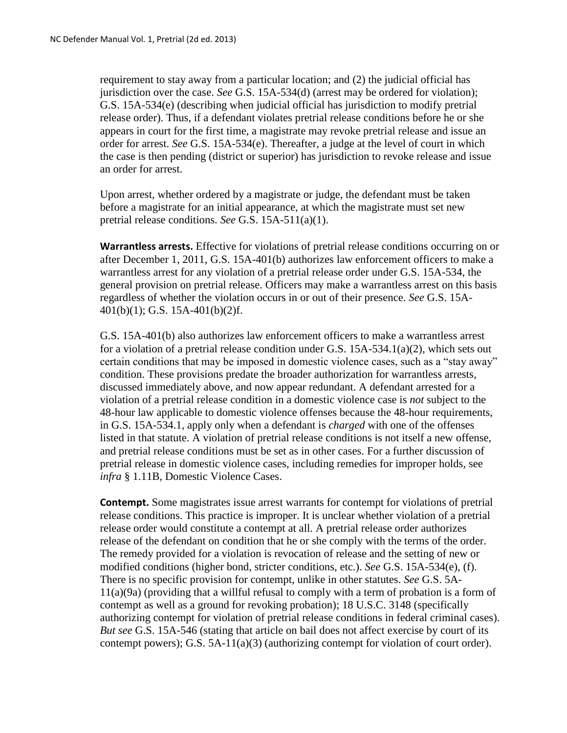requirement to stay away from a particular location; and (2) the judicial official has jurisdiction over the case. *See* G.S. 15A-534(d) (arrest may be ordered for violation); G.S. 15A-534(e) (describing when judicial official has jurisdiction to modify pretrial release order). Thus, if a defendant violates pretrial release conditions before he or she appears in court for the first time, a magistrate may revoke pretrial release and issue an order for arrest. *See* G.S. 15A-534(e). Thereafter, a judge at the level of court in which the case is then pending (district or superior) has jurisdiction to revoke release and issue an order for arrest.

Upon arrest, whether ordered by a magistrate or judge, the defendant must be taken before a magistrate for an initial appearance, at which the magistrate must set new pretrial release conditions. *See* G.S. 15A-511(a)(1).

**Warrantless arrests.** Effective for violations of pretrial release conditions occurring on or after December 1, 2011, G.S. 15A-401(b) authorizes law enforcement officers to make a warrantless arrest for any violation of a pretrial release order under G.S. 15A-534, the general provision on pretrial release. Officers may make a warrantless arrest on this basis regardless of whether the violation occurs in or out of their presence. *See* G.S. 15A-401(b)(1); G.S. 15A-401(b)(2)f.

G.S. 15A-401(b) also authorizes law enforcement officers to make a warrantless arrest for a violation of a pretrial release condition under G.S.  $15A-534.1(a)(2)$ , which sets out certain conditions that may be imposed in domestic violence cases, such as a "stay away" condition. These provisions predate the broader authorization for warrantless arrests, discussed immediately above, and now appear redundant. A defendant arrested for a violation of a pretrial release condition in a domestic violence case is *not* subject to the 48-hour law applicable to domestic violence offenses because the 48-hour requirements, in G.S. 15A-534.1, apply only when a defendant is *charged* with one of the offenses listed in that statute. A violation of pretrial release conditions is not itself a new offense, and pretrial release conditions must be set as in other cases. For a further discussion of pretrial release in domestic violence cases, including remedies for improper holds, see *infra* § 1.11B, Domestic Violence Cases.

**Contempt.** Some magistrates issue arrest warrants for contempt for violations of pretrial release conditions. This practice is improper. It is unclear whether violation of a pretrial release order would constitute a contempt at all. A pretrial release order authorizes release of the defendant on condition that he or she comply with the terms of the order. The remedy provided for a violation is revocation of release and the setting of new or modified conditions (higher bond, stricter conditions, etc.). *See* G.S. 15A-534(e), (f). There is no specific provision for contempt, unlike in other statutes. *See* G.S. 5A-11(a)(9a) (providing that a willful refusal to comply with a term of probation is a form of contempt as well as a ground for revoking probation); 18 U.S.C. 3148 (specifically authorizing contempt for violation of pretrial release conditions in federal criminal cases). *But see* G.S. 15A-546 (stating that article on bail does not affect exercise by court of its contempt powers); G.S.  $5A-11(a)(3)$  (authorizing contempt for violation of court order).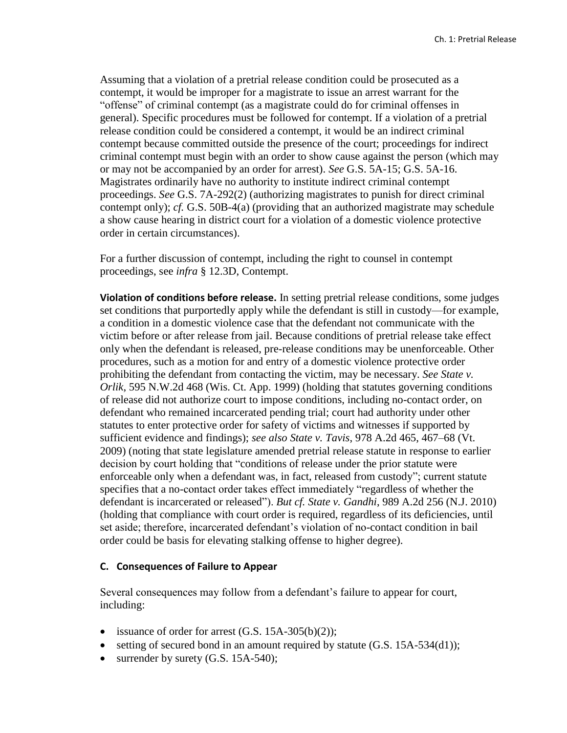Assuming that a violation of a pretrial release condition could be prosecuted as a contempt, it would be improper for a magistrate to issue an arrest warrant for the "offense" of criminal contempt (as a magistrate could do for criminal offenses in general). Specific procedures must be followed for contempt. If a violation of a pretrial release condition could be considered a contempt, it would be an indirect criminal contempt because committed outside the presence of the court; proceedings for indirect criminal contempt must begin with an order to show cause against the person (which may or may not be accompanied by an order for arrest). *See* G.S. 5A-15; G.S. 5A-16. Magistrates ordinarily have no authority to institute indirect criminal contempt proceedings. *See* G.S. 7A-292(2) (authorizing magistrates to punish for direct criminal contempt only); *cf.* G.S. 50B-4(a) (providing that an authorized magistrate may schedule a show cause hearing in district court for a violation of a domestic violence protective order in certain circumstances).

For a further discussion of contempt, including the right to counsel in contempt proceedings, see *infra* § 12.3D, Contempt.

**Violation of conditions before release.** In setting pretrial release conditions, some judges set conditions that purportedly apply while the defendant is still in custody—for example, a condition in a domestic violence case that the defendant not communicate with the victim before or after release from jail. Because conditions of pretrial release take effect only when the defendant is released, pre-release conditions may be unenforceable. Other procedures, such as a motion for and entry of a domestic violence protective order prohibiting the defendant from contacting the victim, may be necessary. *See State v. Orlik*, 595 N.W.2d 468 (Wis. Ct. App. 1999) (holding that statutes governing conditions of release did not authorize court to impose conditions, including no-contact order, on defendant who remained incarcerated pending trial; court had authority under other statutes to enter protective order for safety of victims and witnesses if supported by sufficient evidence and findings); *see also State v. Tavis*, 978 A.2d 465, 467–68 (Vt. 2009) (noting that state legislature amended pretrial release statute in response to earlier decision by court holding that "conditions of release under the prior statute were enforceable only when a defendant was, in fact, released from custody"; current statute specifies that a no-contact order takes effect immediately "regardless of whether the defendant is incarcerated or released"). *But cf. State v. Gandhi*, 989 A.2d 256 (N.J. 2010) (holding that compliance with court order is required, regardless of its deficiencies, until set aside; therefore, incarcerated defendant's violation of no-contact condition in bail order could be basis for elevating stalking offense to higher degree).

#### **C. Consequences of Failure to Appear**

Several consequences may follow from a defendant's failure to appear for court, including:

- issuance of order for arrest  $(G.S. 15A-305(b)(2))$ ;
- setting of secured bond in an amount required by statute (G.S. 15A-534(d1));
- $\bullet$  surrender by surety (G.S. 15A-540);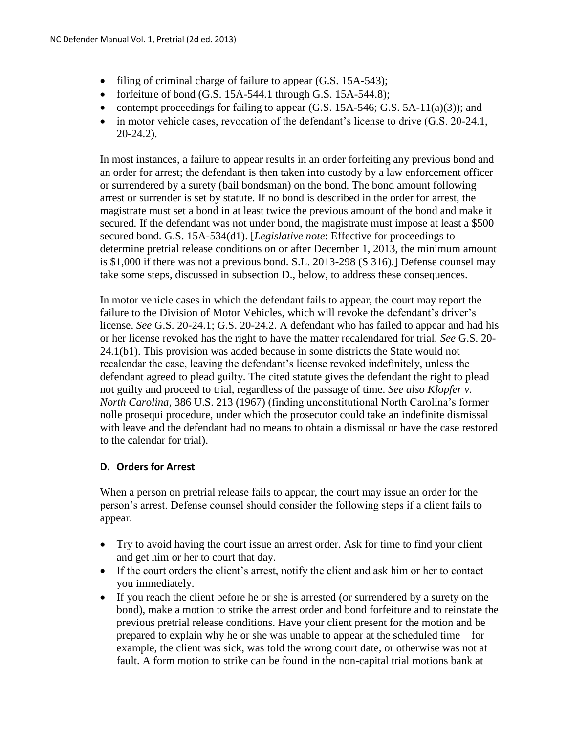- filing of criminal charge of failure to appear (G.S. 15A-543);
- forfeiture of bond  $(G.S. 15A-544.1)$  through  $G.S. 15A-544.8$ ;
- contempt proceedings for failing to appear  $(G.S. 15A-546; G.S. 5A-11(a)(3))$ ; and
- $\bullet$  in motor vehicle cases, revocation of the defendant's license to drive  $(G.S. 20-24.1,$ 20-24.2).

In most instances, a failure to appear results in an order forfeiting any previous bond and an order for arrest; the defendant is then taken into custody by a law enforcement officer or surrendered by a surety (bail bondsman) on the bond. The bond amount following arrest or surrender is set by statute. If no bond is described in the order for arrest, the magistrate must set a bond in at least twice the previous amount of the bond and make it secured. If the defendant was not under bond, the magistrate must impose at least a \$500 secured bond. G.S. 15A-534(d1). [*Legislative note*: Effective for proceedings to determine pretrial release conditions on or after December 1, 2013, the minimum amount is \$1,000 if there was not a previous bond. S.L. 2013-298 (S 316).] Defense counsel may take some steps, discussed in subsection D., below, to address these consequences.

In motor vehicle cases in which the defendant fails to appear, the court may report the failure to the Division of Motor Vehicles, which will revoke the defendant's driver's license. *See* G.S. 20-24.1; G.S. 20-24.2. A defendant who has failed to appear and had his or her license revoked has the right to have the matter recalendared for trial. *See* G.S. 20- 24.1(b1). This provision was added because in some districts the State would not recalendar the case, leaving the defendant's license revoked indefinitely, unless the defendant agreed to plead guilty. The cited statute gives the defendant the right to plead not guilty and proceed to trial, regardless of the passage of time. *See also Klopfer v. North Carolina*, 386 U.S. 213 (1967) (finding unconstitutional North Carolina's former nolle prosequi procedure, under which the prosecutor could take an indefinite dismissal with leave and the defendant had no means to obtain a dismissal or have the case restored to the calendar for trial).

# **D. Orders for Arrest**

When a person on pretrial release fails to appear, the court may issue an order for the person's arrest. Defense counsel should consider the following steps if a client fails to appear.

- Try to avoid having the court issue an arrest order. Ask for time to find your client and get him or her to court that day.
- If the court orders the client's arrest, notify the client and ask him or her to contact you immediately.
- If you reach the client before he or she is arrested (or surrendered by a surety on the bond), make a motion to strike the arrest order and bond forfeiture and to reinstate the previous pretrial release conditions. Have your client present for the motion and be prepared to explain why he or she was unable to appear at the scheduled time—for example, the client was sick, was told the wrong court date, or otherwise was not at fault. A form motion to strike can be found in the non-capital trial motions bank at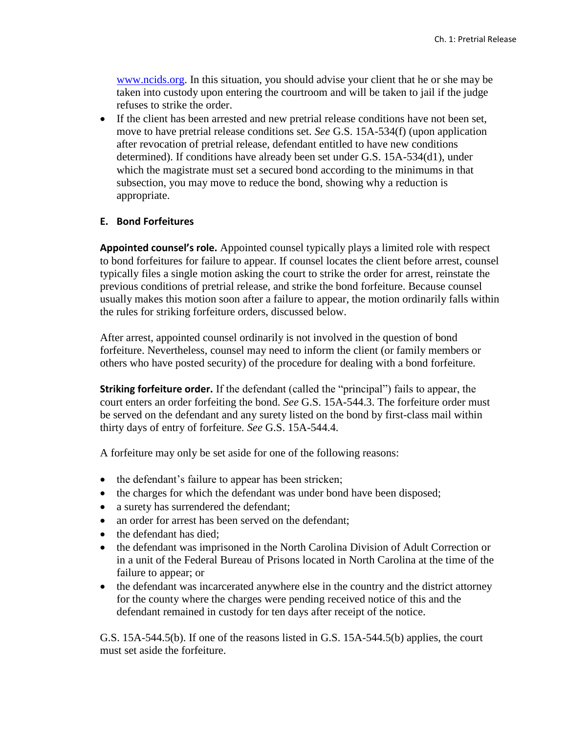[www.ncids.org.](http://www.ncids.org/) In this situation, you should advise your client that he or she may be taken into custody upon entering the courtroom and will be taken to jail if the judge refuses to strike the order.

 If the client has been arrested and new pretrial release conditions have not been set, move to have pretrial release conditions set. *See* G.S. 15A-534(f) (upon application after revocation of pretrial release, defendant entitled to have new conditions determined). If conditions have already been set under G.S. 15A-534(d1), under which the magistrate must set a secured bond according to the minimums in that subsection, you may move to reduce the bond, showing why a reduction is appropriate.

### **E. Bond Forfeitures**

**Appointed counsel's role.** Appointed counsel typically plays a limited role with respect to bond forfeitures for failure to appear. If counsel locates the client before arrest, counsel typically files a single motion asking the court to strike the order for arrest, reinstate the previous conditions of pretrial release, and strike the bond forfeiture. Because counsel usually makes this motion soon after a failure to appear, the motion ordinarily falls within the rules for striking forfeiture orders, discussed below.

After arrest, appointed counsel ordinarily is not involved in the question of bond forfeiture. Nevertheless, counsel may need to inform the client (or family members or others who have posted security) of the procedure for dealing with a bond forfeiture.

**Striking forfeiture order.** If the defendant (called the "principal") fails to appear, the court enters an order forfeiting the bond. *See* G.S. 15A-544.3. The forfeiture order must be served on the defendant and any surety listed on the bond by first-class mail within thirty days of entry of forfeiture. *See* G.S. 15A-544.4.

A forfeiture may only be set aside for one of the following reasons:

- the defendant's failure to appear has been stricken;
- the charges for which the defendant was under bond have been disposed;
- a surety has surrendered the defendant;
- an order for arrest has been served on the defendant;
- the defendant has died:
- the defendant was imprisoned in the North Carolina Division of Adult Correction or in a unit of the Federal Bureau of Prisons located in North Carolina at the time of the failure to appear; or
- the defendant was incarcerated anywhere else in the country and the district attorney for the county where the charges were pending received notice of this and the defendant remained in custody for ten days after receipt of the notice.

G.S. 15A-544.5(b). If one of the reasons listed in G.S. 15A-544.5(b) applies, the court must set aside the forfeiture.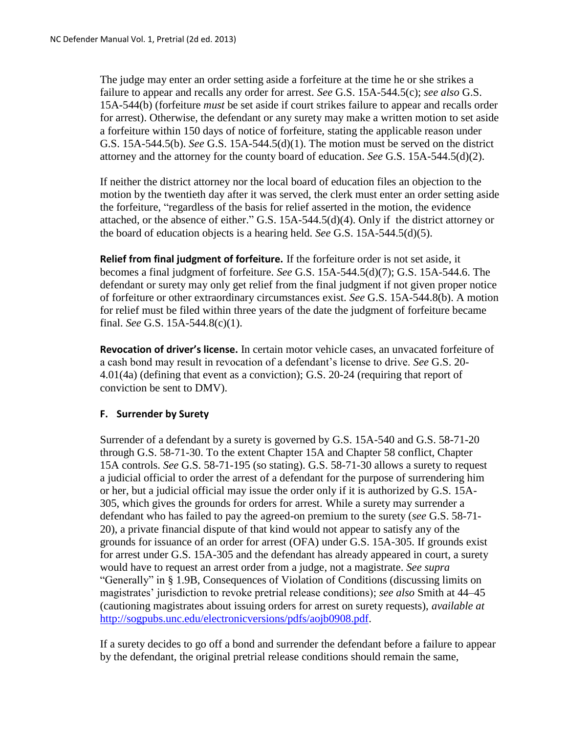The judge may enter an order setting aside a forfeiture at the time he or she strikes a failure to appear and recalls any order for arrest. *See* G.S. 15A-544.5(c); *see also* G.S. 15A-544(b) (forfeiture *must* be set aside if court strikes failure to appear and recalls order for arrest). Otherwise, the defendant or any surety may make a written motion to set aside a forfeiture within 150 days of notice of forfeiture, stating the applicable reason under G.S. 15A-544.5(b). *See* G.S. 15A-544.5(d)(1). The motion must be served on the district attorney and the attorney for the county board of education. *See* G.S. 15A-544.5(d)(2).

If neither the district attorney nor the local board of education files an objection to the motion by the twentieth day after it was served, the clerk must enter an order setting aside the forfeiture, "regardless of the basis for relief asserted in the motion, the evidence attached, or the absence of either." G.S. 15A-544.5(d)(4). Only if the district attorney or the board of education objects is a hearing held. *See* G.S. 15A-544.5(d)(5).

**Relief from final judgment of forfeiture.** If the forfeiture order is not set aside, it becomes a final judgment of forfeiture. *See* G.S. 15A-544.5(d)(7); G.S. 15A-544.6. The defendant or surety may only get relief from the final judgment if not given proper notice of forfeiture or other extraordinary circumstances exist. *See* G.S. 15A-544.8(b). A motion for relief must be filed within three years of the date the judgment of forfeiture became final. *See* G.S. 15A-544.8(c)(1).

**Revocation of driver's license.** In certain motor vehicle cases, an unvacated forfeiture of a cash bond may result in revocation of a defendant's license to drive. *See* G.S. 20- 4.01(4a) (defining that event as a conviction); G.S. 20-24 (requiring that report of conviction be sent to DMV).

# **F. Surrender by Surety**

Surrender of a defendant by a surety is governed by G.S. 15A-540 and G.S. 58-71-20 through G.S. 58-71-30. To the extent Chapter 15A and Chapter 58 conflict, Chapter 15A controls. *See* G.S. 58-71-195 (so stating). G.S. 58-71-30 allows a surety to request a judicial official to order the arrest of a defendant for the purpose of surrendering him or her, but a judicial official may issue the order only if it is authorized by G.S. 15A-305, which gives the grounds for orders for arrest. While a surety may surrender a defendant who has failed to pay the agreed-on premium to the surety (*see* G.S. 58-71- 20), a private financial dispute of that kind would not appear to satisfy any of the grounds for issuance of an order for arrest (OFA) under G.S. 15A-305. If grounds exist for arrest under G.S. 15A-305 and the defendant has already appeared in court, a surety would have to request an arrest order from a judge, not a magistrate. *See supra*  "Generally" in § 1.9B, Consequences of Violation of Conditions (discussing limits on magistrates' jurisdiction to revoke pretrial release conditions); *see also* Smith at 44–45 (cautioning magistrates about issuing orders for arrest on surety requests), *available at*  [http://sogpubs.unc.edu/electronicversions/pdfs/aojb0908.pdf.](http://sogpubs.unc.edu/electronicversions/pdfs/aojb0908.pdf)

If a surety decides to go off a bond and surrender the defendant before a failure to appear by the defendant, the original pretrial release conditions should remain the same,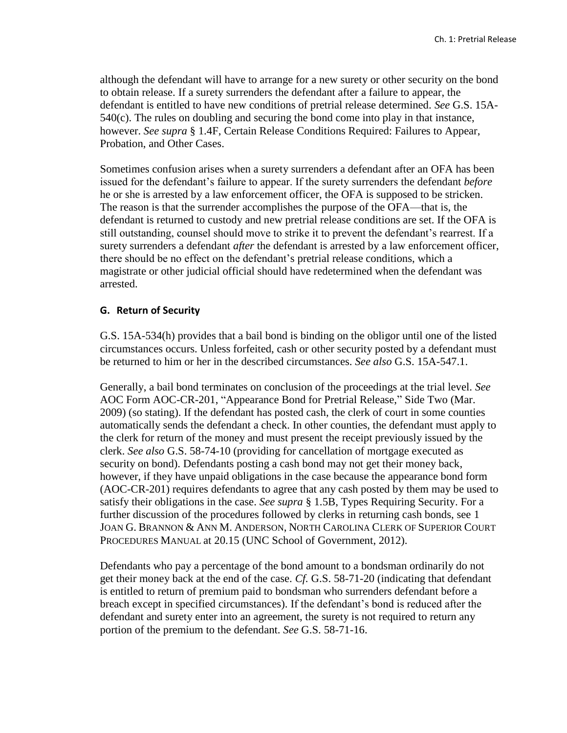although the defendant will have to arrange for a new surety or other security on the bond to obtain release. If a surety surrenders the defendant after a failure to appear, the defendant is entitled to have new conditions of pretrial release determined. *See* G.S. 15A-540(c). The rules on doubling and securing the bond come into play in that instance, however. *See supra* § 1.4F, Certain Release Conditions Required: Failures to Appear, Probation, and Other Cases.

Sometimes confusion arises when a surety surrenders a defendant after an OFA has been issued for the defendant's failure to appear. If the surety surrenders the defendant *before*  he or she is arrested by a law enforcement officer, the OFA is supposed to be stricken. The reason is that the surrender accomplishes the purpose of the OFA—that is, the defendant is returned to custody and new pretrial release conditions are set. If the OFA is still outstanding, counsel should move to strike it to prevent the defendant's rearrest. If a surety surrenders a defendant *after* the defendant is arrested by a law enforcement officer, there should be no effect on the defendant's pretrial release conditions, which a magistrate or other judicial official should have redetermined when the defendant was arrested.

### **G. Return of Security**

G.S. 15A-534(h) provides that a bail bond is binding on the obligor until one of the listed circumstances occurs. Unless forfeited, cash or other security posted by a defendant must be returned to him or her in the described circumstances. *See also* G.S. 15A-547.1.

Generally, a bail bond terminates on conclusion of the proceedings at the trial level. *See*  AOC Form AOC-CR-201, "Appearance Bond for Pretrial Release," Side Two (Mar. 2009) (so stating). If the defendant has posted cash, the clerk of court in some counties automatically sends the defendant a check. In other counties, the defendant must apply to the clerk for return of the money and must present the receipt previously issued by the clerk. *See also* G.S. 58-74-10 (providing for cancellation of mortgage executed as security on bond). Defendants posting a cash bond may not get their money back, however, if they have unpaid obligations in the case because the appearance bond form (AOC-CR-201) requires defendants to agree that any cash posted by them may be used to satisfy their obligations in the case. *See supra* § 1.5B, Types Requiring Security. For a further discussion of the procedures followed by clerks in returning cash bonds, see 1 JOAN G. BRANNON & ANN M. ANDERSON, NORTH CAROLINA CLERK OF SUPERIOR COURT PROCEDURES MANUAL at 20.15 (UNC School of Government, 2012).

Defendants who pay a percentage of the bond amount to a bondsman ordinarily do not get their money back at the end of the case. *Cf.* G.S. 58-71-20 (indicating that defendant is entitled to return of premium paid to bondsman who surrenders defendant before a breach except in specified circumstances). If the defendant's bond is reduced after the defendant and surety enter into an agreement, the surety is not required to return any portion of the premium to the defendant. *See* G.S. 58-71-16.